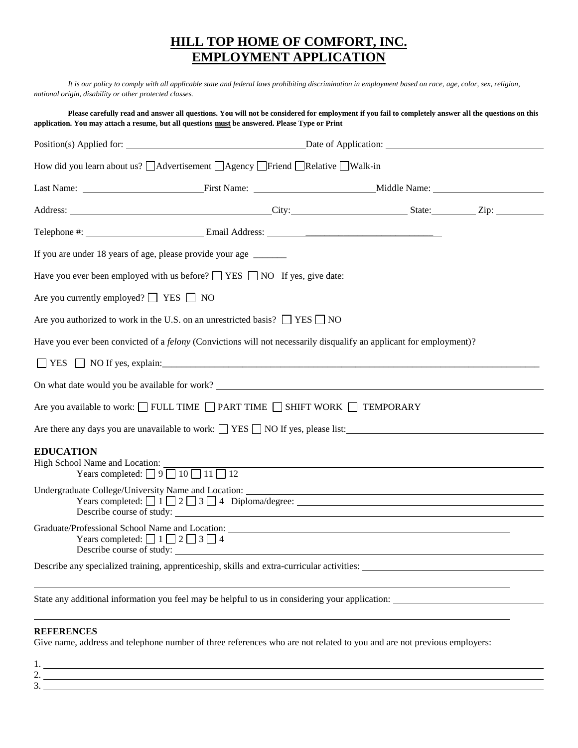## **HILL TOP HOME OF COMFORT, INC. EMPLOYMENT APPLICATION**

*It is our policy to comply with all applicable state and federal laws prohibiting discrimination in employment based on race, age, color, sex, religion,* 

| national origin, disability or other protected classes. |                                                                                                                                                                                                                                                        |  |  |  |  |
|---------------------------------------------------------|--------------------------------------------------------------------------------------------------------------------------------------------------------------------------------------------------------------------------------------------------------|--|--|--|--|
|                                                         | Please carefully read and answer all questions. You will not be considered for employment if you fail to completely answer all the questions on this<br>application. You may attach a resume, but all questions must be answered. Please Type or Print |  |  |  |  |
|                                                         |                                                                                                                                                                                                                                                        |  |  |  |  |
|                                                         | How did you learn about us? △ Advertisement △ Agency △ Friend △ Relative △ Walk-in                                                                                                                                                                     |  |  |  |  |
|                                                         |                                                                                                                                                                                                                                                        |  |  |  |  |
|                                                         | Address: City: City: State: Zip: Zip:                                                                                                                                                                                                                  |  |  |  |  |
|                                                         |                                                                                                                                                                                                                                                        |  |  |  |  |
|                                                         | If you are under 18 years of age, please provide your age _______                                                                                                                                                                                      |  |  |  |  |
|                                                         | Have you ever been employed with us before? $\Box$ YES $\Box$ NO If yes, give date:                                                                                                                                                                    |  |  |  |  |
| Are you currently employed? $\Box$ YES $\Box$ NO        |                                                                                                                                                                                                                                                        |  |  |  |  |
|                                                         | Are you authorized to work in the U.S. on an unrestricted basis? $\Box$ YES $\Box$ NO                                                                                                                                                                  |  |  |  |  |
|                                                         | Have you ever been convicted of a <i>felony</i> (Convictions will not necessarily disqualify an applicant for employment)?                                                                                                                             |  |  |  |  |
|                                                         | $\Box$ YES $\Box$ NO If yes, explain:                                                                                                                                                                                                                  |  |  |  |  |
|                                                         |                                                                                                                                                                                                                                                        |  |  |  |  |
|                                                         | Are you available to work: $\Box$ FULL TIME $\Box$ PART TIME $\Box$ SHIFT WORK $\Box$ TEMPORARY                                                                                                                                                        |  |  |  |  |
|                                                         | Are there any days you are unavailable to work: $\Box$ YES $\Box$ NO If yes, please list:                                                                                                                                                              |  |  |  |  |
| <b>EDUCATION</b>                                        | High School Name and Location:<br>Years completed: $\Box$ 9 $\Box$ 10 $\Box$ 11 $\Box$ 12                                                                                                                                                              |  |  |  |  |
|                                                         | Undergraduate College/University Name and Location: _____________________________                                                                                                                                                                      |  |  |  |  |
| Describe course of study:                               | Years completed: $\Box$ 1 $\Box$ 2 $\Box$ 3 $\Box$ 4 Diploma/degree: $\Box$                                                                                                                                                                            |  |  |  |  |
| Years completed: $\Box$ 1 $\Box$ 2 $\Box$ 3 $\Box$ 4    | Graduate/Professional School Name and Location: Lease and School Name and Location:<br>Describe course of study:                                                                                                                                       |  |  |  |  |
|                                                         | Describe any specialized training, apprenticeship, skills and extra-curricular activities:                                                                                                                                                             |  |  |  |  |
|                                                         |                                                                                                                                                                                                                                                        |  |  |  |  |

State any additional information you feel may be helpful to us in considering your application:

## **REFERENCES**

Give name, address and telephone number of three references who are not related to you and are not previous employers:

| . . |  |
|-----|--|
| ◡   |  |
|     |  |